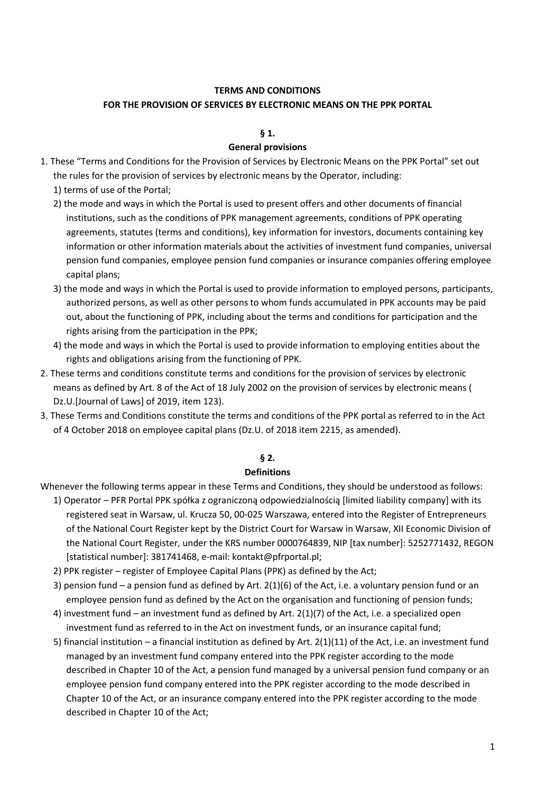### **TERMS AND CONDITIONS FOR THE PROVISION OF SERVICES BY ELECTRONIC MEANS ON THE PPK PORTAL**

# **§ 1.**

# **General provisions**

- 1. These "Terms and Conditions for the Provision of Services by Electronic Means on the PPK Portal" set out the rules for the provision of services by electronic means by the Operator, including:
	- 1) terms of use of the Portal;
	- 2) the mode and ways in which the Portal is used to present offers and other documents of financial institutions, such as the conditions of PPK management agreements, conditions of PPK operating agreements, statutes (terms and conditions), key information for investors, documents containing key information or other information materials about the activities of investment fund companies, universal pension fund companies, employee pension fund companies or insurance companies offering employee capital plans;
	- 3) the mode and ways in which the Portal is used to provide information to employed persons, participants, authorized persons, as well as other persons to whom funds accumulated in PPK accounts may be paid out, about the functioning of PPK, including about the terms and conditions for participation and the rights arising from the participation in the PPK;
	- 4) the mode and ways in which the Portal is used to provide information to employing entities about the rights and obligations arising from the functioning of PPK.
- 2. These terms and conditions constitute terms and conditions for the provision of services by electronic means as defined by Art. 8 of the Act of 18 July 2002 on the provision of services by electronic means ( Dz.U.[Journal of Laws] of 2019, item 123).
- 3. These Terms and Conditions constitute the terms and conditions of the PPK portal as referred to in the Act of 4 October 2018 on employee capital plans (Dz.U. of 2018 item 2215, as amended).

# **§ 2.**

# **Definitions**

- Whenever the following terms appear in these Terms and Conditions, they should be understood as follows:
	- 1) Operator PFR Portal PPK spółka z ograniczoną odpowiedzialnością [limited liability company] with its registered seat in Warsaw, ul. Krucza 50, 00-025 Warszawa, entered into the Register of Entrepreneurs of the National Court Register kept by the District Court for Warsaw in Warsaw, XII Economic Division of the National Court Register, under the KRS number 0000764839, NIP [tax number]: 5252771432, REGON [statistical number]: 381741468, e-mail: kontakt@pfrportal.pl;
	- 2) PPK register register of Employee Capital Plans (PPK) as defined by the Act;
	- 3) pension fund a pension fund as defined by Art. 2(1)(6) of the Act, i.e. a voluntary pension fund or an employee pension fund as defined by the Act on the organisation and functioning of pension funds;
	- 4) investment fund an investment fund as defined by Art. 2(1)(7) of the Act, i.e. a specialized open investment fund as referred to in the Act on investment funds, or an insurance capital fund;
	- 5) financial institution a financial institution as defined by Art. 2(1)(11) of the Act, i.e. an investment fund managed by an investment fund company entered into the PPK register according to the mode described in Chapter 10 of the Act, a pension fund managed by a universal pension fund company or an employee pension fund company entered into the PPK register according to the mode described in Chapter 10 of the Act, or an insurance company entered into the PPK register according to the mode described in Chapter 10 of the Act;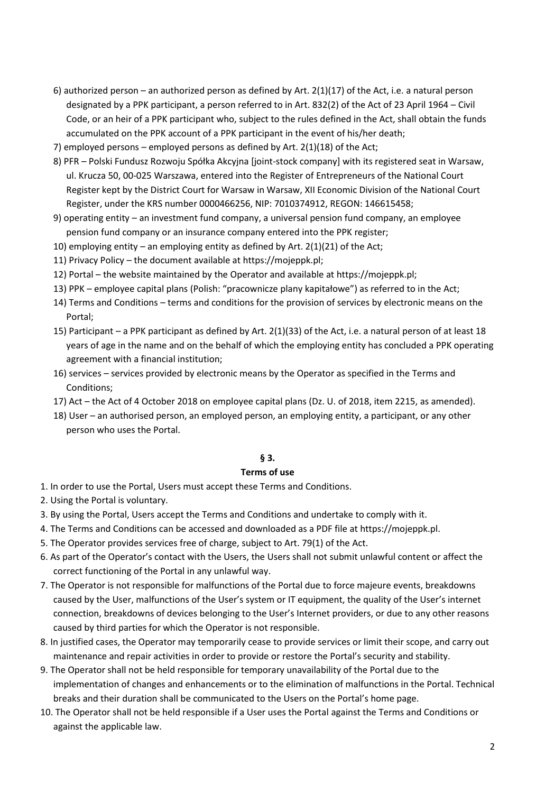- 6) authorized person an authorized person as defined by Art.  $2(1)(17)$  of the Act, i.e. a natural person designated by a PPK participant, a person referred to in Art. 832(2) of the Act of 23 April 1964 – Civil Code, or an heir of a PPK participant who, subject to the rules defined in the Act, shall obtain the funds accumulated on the PPK account of a PPK participant in the event of his/her death;
- 7) employed persons employed persons as defined by Art. 2(1)(18) of the Act;
- 8) PFR Polski Fundusz Rozwoju Spółka Akcyjna [joint-stock company] with its registered seat in Warsaw, ul. Krucza 50, 00-025 Warszawa, entered into the Register of Entrepreneurs of the National Court Register kept by the District Court for Warsaw in Warsaw, XII Economic Division of the National Court Register, under the KRS number 0000466256, NIP: 7010374912, REGON: 146615458;
- 9) operating entity an investment fund company, a universal pension fund company, an employee pension fund company or an insurance company entered into the PPK register;
- 10) employing entity an employing entity as defined by Art. 2(1)(21) of the Act;
- 11) Privacy Policy the document available at https://mojeppk.pl;
- 12) Portal the website maintained by the Operator and available at https://mojeppk.pl;
- 13) PPK employee capital plans (Polish: "pracownicze plany kapitałowe") as referred to in the Act;
- 14) Terms and Conditions terms and conditions for the provision of services by electronic means on the Portal;
- 15) Participant a PPK participant as defined by Art. 2(1)(33) of the Act, i.e. a natural person of at least 18 years of age in the name and on the behalf of which the employing entity has concluded a PPK operating agreement with a financial institution;
- 16) services services provided by electronic means by the Operator as specified in the Terms and Conditions;
- 17) Act the Act of 4 October 2018 on employee capital plans (Dz. U. of 2018, item 2215, as amended).
- 18) User an authorised person, an employed person, an employing entity, a participant, or any other person who uses the Portal.

#### **§ 3.**

#### **Terms of use**

- 1. In order to use the Portal, Users must accept these Terms and Conditions.
- 2. Using the Portal is voluntary.
- 3. By using the Portal, Users accept the Terms and Conditions and undertake to comply with it.
- 4. The Terms and Conditions can be accessed and downloaded as a PDF file at https://mojeppk.pl.
- 5. The Operator provides services free of charge, subject to Art. 79(1) of the Act.
- 6. As part of the Operator's contact with the Users, the Users shall not submit unlawful content or affect the correct functioning of the Portal in any unlawful way.
- 7. The Operator is not responsible for malfunctions of the Portal due to force majeure events, breakdowns caused by the User, malfunctions of the User's system or IT equipment, the quality of the User's internet connection, breakdowns of devices belonging to the User's Internet providers, or due to any other reasons caused by third parties for which the Operator is not responsible.
- 8. In justified cases, the Operator may temporarily cease to provide services or limit their scope, and carry out maintenance and repair activities in order to provide or restore the Portal's security and stability.
- 9. The Operator shall not be held responsible for temporary unavailability of the Portal due to the implementation of changes and enhancements or to the elimination of malfunctions in the Portal. Technical breaks and their duration shall be communicated to the Users on the Portal's home page.
- 10. The Operator shall not be held responsible if a User uses the Portal against the Terms and Conditions or against the applicable law.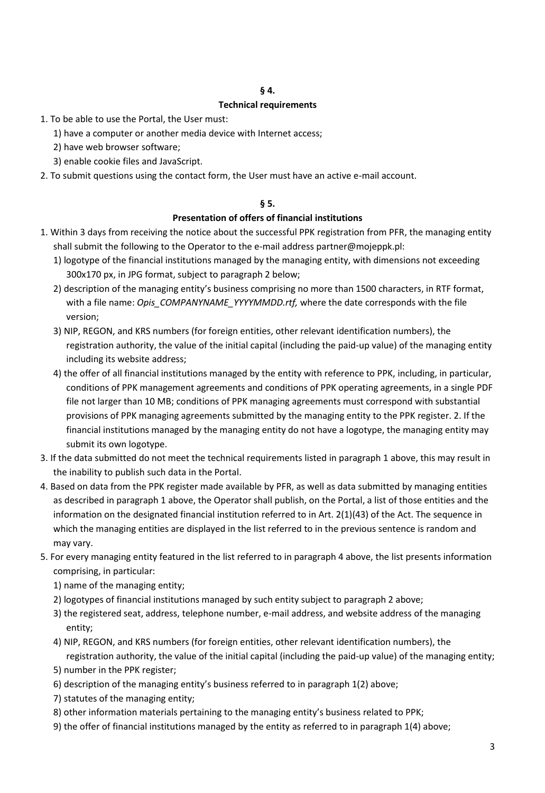#### **§ 4.**

#### **Technical requirements**

- 1. To be able to use the Portal, the User must:
	- 1) have a computer or another media device with Internet access;
	- 2) have web browser software;
	- 3) enable cookie files and JavaScript.
- 2. To submit questions using the contact form, the User must have an active e-mail account.

#### **§ 5.**

#### **Presentation of offers of financial institutions**

- 1. Within 3 days from receiving the notice about the successful PPK registration from PFR, the managing entity shall submit the following to the Operator to the e-mail address partner@mojeppk.pl:
	- 1) logotype of the financial institutions managed by the managing entity, with dimensions not exceeding 300x170 px, in JPG format, subject to paragraph 2 below;
	- 2) description of the managing entity's business comprising no more than 1500 characters, in RTF format, with a file name: *Opis\_COMPANYNAME\_YYYYMMDD.rtf,* where the date corresponds with the file version;
	- 3) NIP, REGON, and KRS numbers (for foreign entities, other relevant identification numbers), the registration authority, the value of the initial capital (including the paid-up value) of the managing entity including its website address;
	- 4) the offer of all financial institutions managed by the entity with reference to PPK, including, in particular, conditions of PPK management agreements and conditions of PPK operating agreements, in a single PDF file not larger than 10 MB; conditions of PPK managing agreements must correspond with substantial provisions of PPK managing agreements submitted by the managing entity to the PPK register. 2. If the financial institutions managed by the managing entity do not have a logotype, the managing entity may submit its own logotype.
- 3. If the data submitted do not meet the technical requirements listed in paragraph 1 above, this may result in the inability to publish such data in the Portal.
- 4. Based on data from the PPK register made available by PFR, as well as data submitted by managing entities as described in paragraph 1 above, the Operator shall publish, on the Portal, a list of those entities and the information on the designated financial institution referred to in Art. 2(1)(43) of the Act. The sequence in which the managing entities are displayed in the list referred to in the previous sentence is random and may vary.
- 5. For every managing entity featured in the list referred to in paragraph 4 above, the list presents information comprising, in particular:
	- 1) name of the managing entity;
	- 2) logotypes of financial institutions managed by such entity subject to paragraph 2 above;
	- 3) the registered seat, address, telephone number, e-mail address, and website address of the managing entity;
	- 4) NIP, REGON, and KRS numbers (for foreign entities, other relevant identification numbers), the registration authority, the value of the initial capital (including the paid-up value) of the managing entity;
	- 5) number in the PPK register;
	- 6) description of the managing entity's business referred to in paragraph 1(2) above;
	- 7) statutes of the managing entity;
	- 8) other information materials pertaining to the managing entity's business related to PPK;
	- 9) the offer of financial institutions managed by the entity as referred to in paragraph 1(4) above;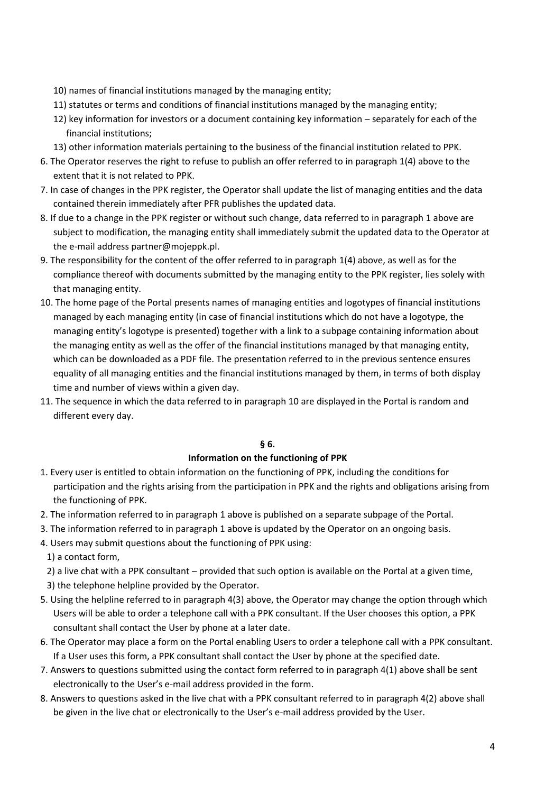- 10) names of financial institutions managed by the managing entity;
- 11) statutes or terms and conditions of financial institutions managed by the managing entity;
- 12) key information for investors or a document containing key information separately for each of the financial institutions;
- 13) other information materials pertaining to the business of the financial institution related to PPK.
- 6. The Operator reserves the right to refuse to publish an offer referred to in paragraph 1(4) above to the extent that it is not related to PPK.
- 7. In case of changes in the PPK register, the Operator shall update the list of managing entities and the data contained therein immediately after PFR publishes the updated data.
- 8. If due to a change in the PPK register or without such change, data referred to in paragraph 1 above are subject to modification, the managing entity shall immediately submit the updated data to the Operator at the e-mail address partner@mojeppk.pl.
- 9. The responsibility for the content of the offer referred to in paragraph 1(4) above, as well as for the compliance thereof with documents submitted by the managing entity to the PPK register, lies solely with that managing entity.
- 10. The home page of the Portal presents names of managing entities and logotypes of financial institutions managed by each managing entity (in case of financial institutions which do not have a logotype, the managing entity's logotype is presented) together with a link to a subpage containing information about the managing entity as well as the offer of the financial institutions managed by that managing entity, which can be downloaded as a PDF file. The presentation referred to in the previous sentence ensures equality of all managing entities and the financial institutions managed by them, in terms of both display time and number of views within a given day.
- 11. The sequence in which the data referred to in paragraph 10 are displayed in the Portal is random and different every day.

# **§ 6.**

#### **Information on the functioning of PPK**

- 1. Every user is entitled to obtain information on the functioning of PPK, including the conditions for participation and the rights arising from the participation in PPK and the rights and obligations arising from the functioning of PPK.
- 2. The information referred to in paragraph 1 above is published on a separate subpage of the Portal.
- 3. The information referred to in paragraph 1 above is updated by the Operator on an ongoing basis.
- 4. Users may submit questions about the functioning of PPK using:

1) a contact form,

- 2) a live chat with a PPK consultant provided that such option is available on the Portal at a given time,
- 3) the telephone helpline provided by the Operator.
- 5. Using the helpline referred to in paragraph 4(3) above, the Operator may change the option through which Users will be able to order a telephone call with a PPK consultant. If the User chooses this option, a PPK consultant shall contact the User by phone at a later date.
- 6. The Operator may place a form on the Portal enabling Users to order a telephone call with a PPK consultant. If a User uses this form, a PPK consultant shall contact the User by phone at the specified date.
- 7. Answers to questions submitted using the contact form referred to in paragraph 4(1) above shall be sent electronically to the User's e-mail address provided in the form.
- 8. Answers to questions asked in the live chat with a PPK consultant referred to in paragraph 4(2) above shall be given in the live chat or electronically to the User's e-mail address provided by the User.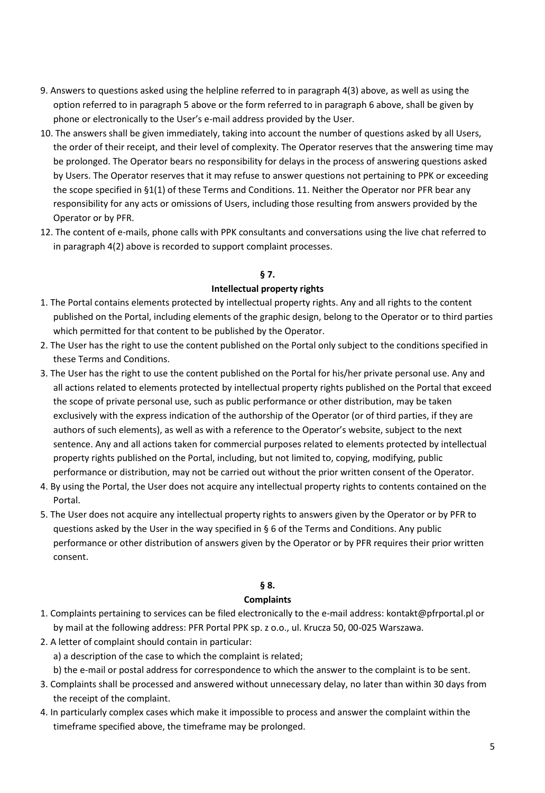- 9. Answers to questions asked using the helpline referred to in paragraph 4(3) above, as well as using the option referred to in paragraph 5 above or the form referred to in paragraph 6 above, shall be given by phone or electronically to the User's e-mail address provided by the User.
- 10. The answers shall be given immediately, taking into account the number of questions asked by all Users, the order of their receipt, and their level of complexity. The Operator reserves that the answering time may be prolonged. The Operator bears no responsibility for delays in the process of answering questions asked by Users. The Operator reserves that it may refuse to answer questions not pertaining to PPK or exceeding the scope specified in §1(1) of these Terms and Conditions. 11. Neither the Operator nor PFR bear any responsibility for any acts or omissions of Users, including those resulting from answers provided by the Operator or by PFR.
- 12. The content of e-mails, phone calls with PPK consultants and conversations using the live chat referred to in paragraph 4(2) above is recorded to support complaint processes.

# **§ 7.**

### **Intellectual property rights**

- 1. The Portal contains elements protected by intellectual property rights. Any and all rights to the content published on the Portal, including elements of the graphic design, belong to the Operator or to third parties which permitted for that content to be published by the Operator.
- 2. The User has the right to use the content published on the Portal only subject to the conditions specified in these Terms and Conditions.
- 3. The User has the right to use the content published on the Portal for his/her private personal use. Any and all actions related to elements protected by intellectual property rights published on the Portal that exceed the scope of private personal use, such as public performance or other distribution, may be taken exclusively with the express indication of the authorship of the Operator (or of third parties, if they are authors of such elements), as well as with a reference to the Operator's website, subject to the next sentence. Any and all actions taken for commercial purposes related to elements protected by intellectual property rights published on the Portal, including, but not limited to, copying, modifying, public performance or distribution, may not be carried out without the prior written consent of the Operator.
- 4. By using the Portal, the User does not acquire any intellectual property rights to contents contained on the Portal.
- 5. The User does not acquire any intellectual property rights to answers given by the Operator or by PFR to questions asked by the User in the way specified in § 6 of the Terms and Conditions. Any public performance or other distribution of answers given by the Operator or by PFR requires their prior written consent.

# **§ 8.**

#### **Complaints**

- 1. Complaints pertaining to services can be filed electronically to the e-mail address: kontakt@pfrportal.pl or by mail at the following address: PFR Portal PPK sp. z o.o., ul. Krucza 50, 00-025 Warszawa.
- 2. A letter of complaint should contain in particular:
	- a) a description of the case to which the complaint is related;
	- b) the e-mail or postal address for correspondence to which the answer to the complaint is to be sent.
- 3. Complaints shall be processed and answered without unnecessary delay, no later than within 30 days from the receipt of the complaint.
- 4. In particularly complex cases which make it impossible to process and answer the complaint within the timeframe specified above, the timeframe may be prolonged.